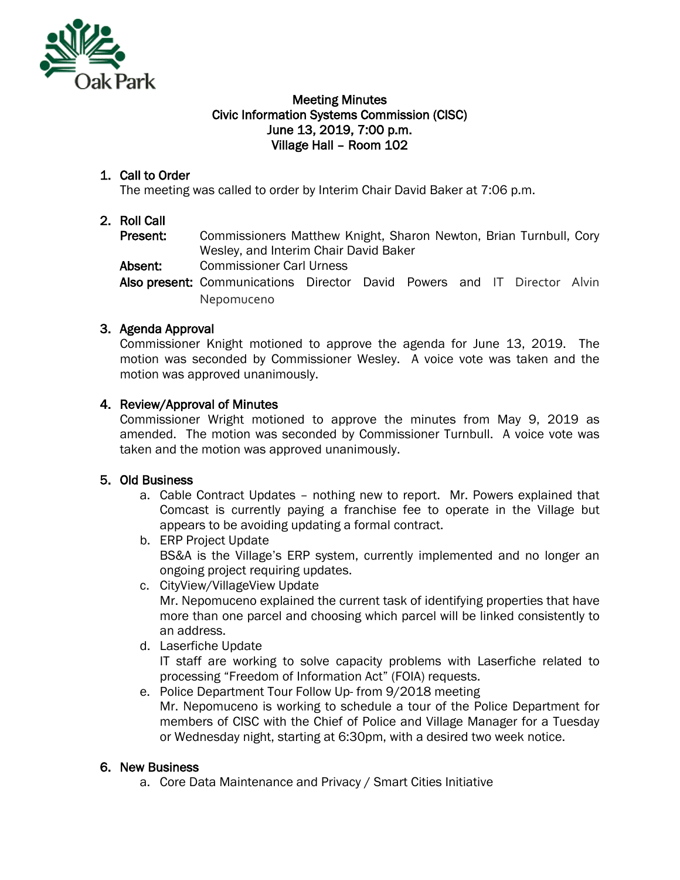

#### Meeting Minutes Civic Information Systems Commission (CISC) June 13, 2019, 7:00 p.m. Village Hall – Room 102

## 1. Call to Order

The meeting was called to order by Interim Chair David Baker at 7:06 p.m.

## 2. Roll Call

Present: Commissioners Matthew Knight, Sharon Newton, Brian Turnbull, Cory Wesley, and Interim Chair David Baker

Absent: Commissioner Carl Urness

Also present: Communications Director David Powers and IT Director Alvin Nepomuceno

# 3. Agenda Approval

Commissioner Knight motioned to approve the agenda for June 13, 2019. The motion was seconded by Commissioner Wesley. A voice vote was taken and the motion was approved unanimously.

### 4. Review/Approval of Minutes

Commissioner Wright motioned to approve the minutes from May 9, 2019 as amended. The motion was seconded by Commissioner Turnbull. A voice vote was taken and the motion was approved unanimously.

### 5. Old Business

- a. Cable Contract Updates nothing new to report. Mr. Powers explained that Comcast is currently paying a franchise fee to operate in the Village but appears to be avoiding updating a formal contract.
- b. ERP Project Update BS&A is the Village's ERP system, currently implemented and no longer an ongoing project requiring updates.
- c. CityView/VillageView Update Mr. Nepomuceno explained the current task of identifying properties that have more than one parcel and choosing which parcel will be linked consistently to an address.
- d. Laserfiche Update

IT staff are working to solve capacity problems with Laserfiche related to processing "Freedom of Information Act" (FOIA) requests.

e. Police Department Tour Follow Up- from 9/2018 meeting Mr. Nepomuceno is working to schedule a tour of the Police Department for members of CISC with the Chief of Police and Village Manager for a Tuesday or Wednesday night, starting at 6:30pm, with a desired two week notice.

# 6. New Business

a. Core Data Maintenance and Privacy / Smart Cities Initiative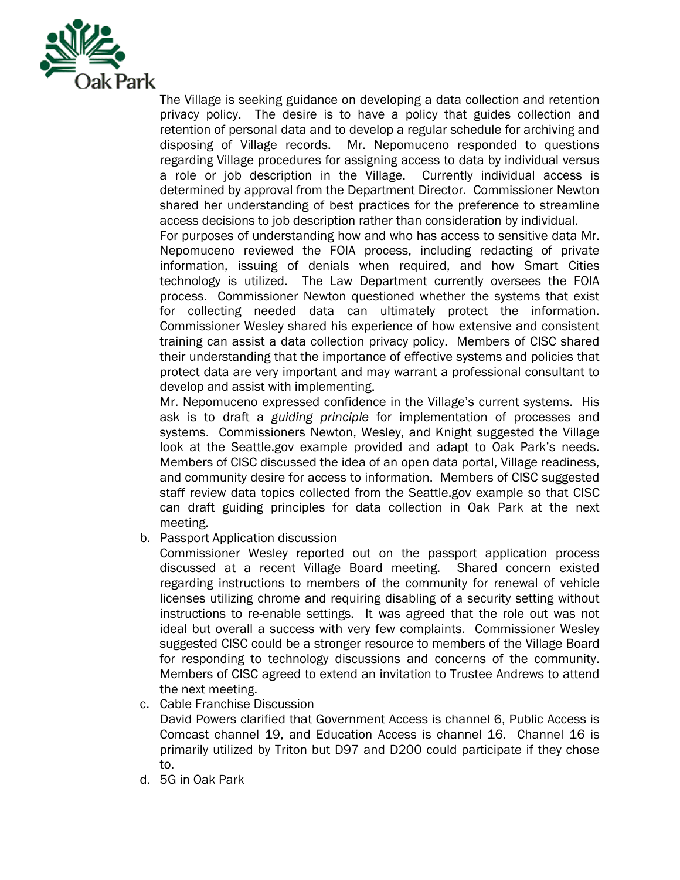

The Village is seeking guidance on developing a data collection and retention privacy policy. The desire is to have a policy that guides collection and retention of personal data and to develop a regular schedule for archiving and disposing of Village records. Mr. Nepomuceno responded to questions regarding Village procedures for assigning access to data by individual versus a role or job description in the Village. Currently individual access is determined by approval from the Department Director. Commissioner Newton shared her understanding of best practices for the preference to streamline access decisions to job description rather than consideration by individual.

For purposes of understanding how and who has access to sensitive data Mr. Nepomuceno reviewed the FOIA process, including redacting of private information, issuing of denials when required, and how Smart Cities technology is utilized. The Law Department currently oversees the FOIA process. Commissioner Newton questioned whether the systems that exist for collecting needed data can ultimately protect the information. Commissioner Wesley shared his experience of how extensive and consistent training can assist a data collection privacy policy. Members of CISC shared their understanding that the importance of effective systems and policies that protect data are very important and may warrant a professional consultant to develop and assist with implementing.

Mr. Nepomuceno expressed confidence in the Village's current systems. His ask is to draft a *guiding principle* for implementation of processes and systems. Commissioners Newton, Wesley, and Knight suggested the Village look at the Seattle.gov example provided and adapt to Oak Park's needs. Members of CISC discussed the idea of an open data portal, Village readiness, and community desire for access to information. Members of CISC suggested staff review data topics collected from the Seattle.gov example so that CISC can draft guiding principles for data collection in Oak Park at the next meeting.

b. Passport Application discussion

Commissioner Wesley reported out on the passport application process discussed at a recent Village Board meeting. Shared concern existed regarding instructions to members of the community for renewal of vehicle licenses utilizing chrome and requiring disabling of a security setting without instructions to re-enable settings. It was agreed that the role out was not ideal but overall a success with very few complaints. Commissioner Wesley suggested CISC could be a stronger resource to members of the Village Board for responding to technology discussions and concerns of the community. Members of CISC agreed to extend an invitation to Trustee Andrews to attend the next meeting.

c. Cable Franchise Discussion

David Powers clarified that Government Access is channel 6, Public Access is Comcast channel 19, and Education Access is channel 16. Channel 16 is primarily utilized by Triton but D97 and D200 could participate if they chose to.

d. 5G in Oak Park